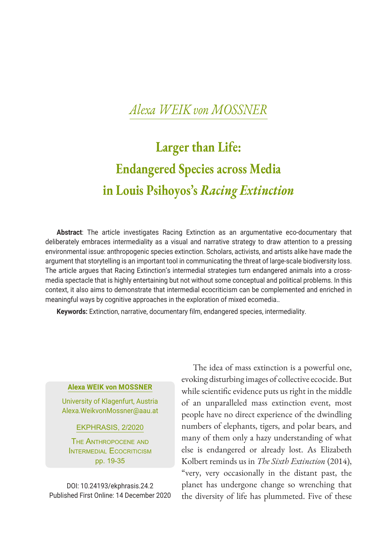# **Larger than Life: Endangered Species across Media in Louis Psihoyos's** *Racing Extinction*

**Abstract**: The article investigates Racing Extinction as an argumentative eco-documentary that deliberately embraces intermediality as a visual and narrative strategy to draw attention to a pressing environmental issue: anthropogenic species extinction. Scholars, activists, and artists alike have made the argument that storytelling is an important tool in communicating the threat of large-scale biodiversity loss. The article argues that Racing Extinction's intermedial strategies turn endangered animals into a crossmedia spectacle that is highly entertaining but not without some conceptual and political problems. In this context, it also aims to demonstrate that intermedial ecocriticism can be complemented and enriched in meaningful ways by cognitive approaches in the exploration of mixed ecomedia..

**Keywords:** Extinction, narrative, documentary film, endangered species, intermediality.

#### **Alexa WEIK von MOSSNER**

University of Klagenfurt, Austria Alexa.WeikvonMossner@aau.at

EKPHRASIS, 2/2020

The Anthropocene and INTERMEDIAL ECOCRITICISM pp. 19-35

DOI: 10.24193/ekphrasis.24.2 Published First Online: 14 December 2020

The idea of mass extinction is a powerful one, evoking disturbing images of collective ecocide. But while scientific evidence puts us right in the middle of an unparalleled mass extinction event, most people have no direct experience of the dwindling numbers of elephants, tigers, and polar bears, and many of them only a hazy understanding of what else is endangered or already lost. As Elizabeth Kolbert reminds us in *The Sixth Extinction* (2014), "very, very occasionally in the distant past, the planet has undergone change so wrenching that the diversity of life has plummeted. Five of these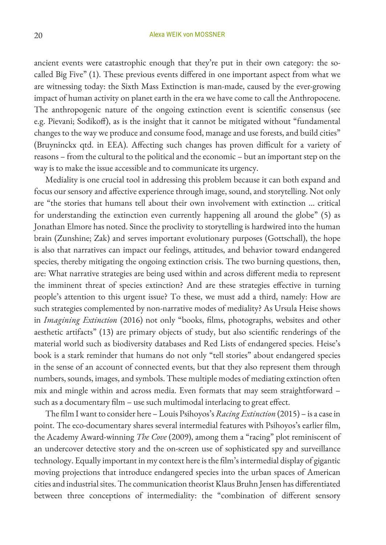ancient events were catastrophic enough that they're put in their own category: the socalled Big Five" (1). These previous events differed in one important aspect from what we are witnessing today: the Sixth Mass Extinction is man-made, caused by the ever-growing impact of human activity on planet earth in the era we have come to call the Anthropocene. The anthropogenic nature of the ongoing extinction event is scientific consensus (see e.g. Pievani; Sodikoff), as is the insight that it cannot be mitigated without "fundamental changes to the way we produce and consume food, manage and use forests, and build cities" (Bruyninckx qtd. in EEA). Affecting such changes has proven difficult for a variety of reasons – from the cultural to the political and the economic – but an important step on the way is to make the issue accessible and to communicate its urgency.

Mediality is one crucial tool in addressing this problem because it can both expand and focus our sensory and affective experience through image, sound, and storytelling. Not only are "the stories that humans tell about their own involvement with extinction … critical for understanding the extinction even currently happening all around the globe" (5) as Jonathan Elmore has noted. Since the proclivity to storytelling is hardwired into the human brain (Zunshine; Zak) and serves important evolutionary purposes (Gottschall), the hope is also that narratives can impact our feelings, attitudes, and behavior toward endangered species, thereby mitigating the ongoing extinction crisis. The two burning questions, then, are: What narrative strategies are being used within and across different media to represent the imminent threat of species extinction? And are these strategies effective in turning people's attention to this urgent issue? To these, we must add a third, namely: How are such strategies complemented by non-narrative modes of mediality? As Ursula Heise shows in *Imagining Extinction* (2016) not only "books, films, photographs, websites and other aesthetic artifacts" (13) are primary objects of study, but also scientific renderings of the material world such as biodiversity databases and Red Lists of endangered species. Heise's book is a stark reminder that humans do not only "tell stories" about endangered species in the sense of an account of connected events, but that they also represent them through numbers, sounds, images, and symbols. These multiple modes of mediating extinction often mix and mingle within and across media. Even formats that may seem straightforward – such as a documentary film – use such multimodal interlacing to great effect.

The film I want to consider here – Louis Psihoyos's *Racing Extinction* (2015) – is a case in point. The eco-documentary shares several intermedial features with Psihoyos's earlier film, the Academy Award-winning *The Cove* (2009), among them a "racing" plot reminiscent of an undercover detective story and the on-screen use of sophisticated spy and surveillance technology. Equally important in my context here is the film's intermedial display of gigantic moving projections that introduce endangered species into the urban spaces of American cities and industrial sites. The communication theorist Klaus Bruhn Jensen has differentiated between three conceptions of intermediality: the "combination of different sensory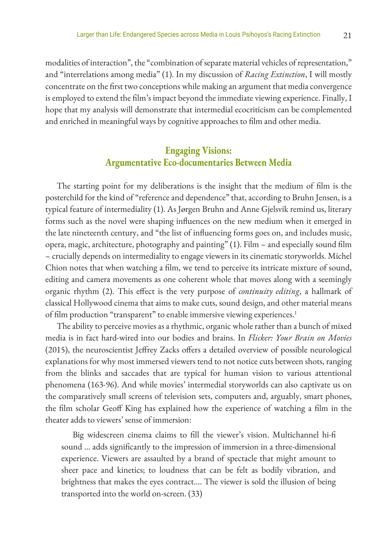modalities of interaction", the "combination of separate material vehicles of representation," and "interrelations among media" (1). In my discussion of *Racing Extinction*, I will mostly concentrate on the first two conceptions while making an argument that media convergence is employed to extend the film's impact beyond the immediate viewing experience. Finally, I hope that my analysis will demonstrate that intermedial ecocriticism can be complemented and enriched in meaningful ways by cognitive approaches to film and other media.

## **Engaging Visions: Argumentative Eco-documentaries Between Media**

The starting point for my deliberations is the insight that the medium of film is the posterchild for the kind of "reference and dependence" that, according to Bruhn Jensen, is a typical feature of intermediality (1). As Jørgen Bruhn and Anne Gjelsvik remind us, literary forms such as the novel were shaping influences on the new medium when it emerged in the late nineteenth century, and "the list of influencing forms goes on, and includes music, opera, magic, architecture, photography and painting" (1). Film – and especially sound film – crucially depends on intermediality to engage viewers in its cinematic storyworlds. Michel Chion notes that when watching a film, we tend to perceive its intricate mixture of sound, editing and camera movements as one coherent whole that moves along with a seemingly organic rhythm (2). This effect is the very purpose of *continuity editing*, a hallmark of classical Hollywood cinema that aims to make cuts, sound design, and other material means of film production "transparent" to enable immersive viewing experiences.<sup>1</sup>

The ability to perceive movies as a rhythmic, organic whole rather than a bunch of mixed media is in fact hard-wired into our bodies and brains. In *Flicker: Your Brain on Movies* (2015), the neuroscientist Jeffrey Zacks offers a detailed overview of possible neurological explanations for why most immersed viewers tend to not notice cuts between shots, ranging from the blinks and saccades that are typical for human vision to various attentional phenomena (163-96). And while movies' intermedial storyworlds can also captivate us on the comparatively small screens of television sets, computers and, arguably, smart phones, the film scholar Geoff King has explained how the experience of watching a film in the theater adds to viewers' sense of immersion:

Big widescreen cinema claims to fill the viewer's vision. Multichannel hi-fi sound … adds significantly to the impression of immersion in a three-dimensional experience. Viewers are assaulted by a brand of spectacle that might amount to sheer pace and kinetics; to loudness that can be felt as bodily vibration, and brightness that makes the eyes contract…. The viewer is sold the illusion of being transported into the world on-screen. (33)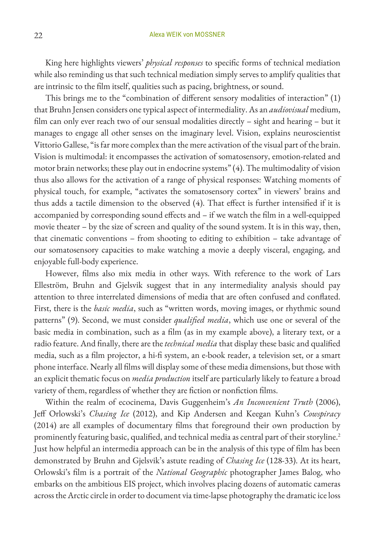King here highlights viewers' *physical responses* to specific forms of technical mediation while also reminding us that such technical mediation simply serves to amplify qualities that are intrinsic to the film itself, qualities such as pacing, brightness, or sound.

This brings me to the "combination of different sensory modalities of interaction" (1) that Bruhn Jensen considers one typical aspect of intermediality. As an *audiovisual* medium, film can only ever reach two of our sensual modalities directly – sight and hearing – but it manages to engage all other senses on the imaginary level. Vision, explains neuroscientist Vittorio Gallese, "is far more complex than the mere activation of the visual part of the brain. Vision is multimodal: it encompasses the activation of somatosensory, emotion-related and motor brain networks; these play out in endocrine systems" (4). The multimodality of vision thus also allows for the activation of a range of physical responses: Watching moments of physical touch, for example, "activates the somatosensory cortex" in viewers' brains and thus adds a tactile dimension to the observed (4). That effect is further intensified if it is accompanied by corresponding sound effects and – if we watch the film in a well-equipped movie theater – by the size of screen and quality of the sound system. It is in this way, then, that cinematic conventions – from shooting to editing to exhibition – take advantage of our somatosensory capacities to make watching a movie a deeply visceral, engaging, and enjoyable full-body experience.

However, films also mix media in other ways. With reference to the work of Lars Elleström, Bruhn and Gjelsvik suggest that in any intermediality analysis should pay attention to three interrelated dimensions of media that are often confused and conflated. First, there is the *basic media*, such as "written words, moving images, or rhythmic sound patterns" (9). Second, we must consider *qualified media*, which use one or several of the basic media in combination, such as a film (as in my example above), a literary text, or a radio feature. And finally, there are the *technical media* that display these basic and qualified media, such as a film projector, a hi-fi system, an e-book reader, a television set, or a smart phone interface. Nearly all films will display some of these media dimensions, but those with an explicit thematic focus on *media production* itself are particularly likely to feature a broad variety of them, regardless of whether they are fiction or nonfiction films.

Within the realm of ecocinema, Davis Guggenheim's *An Inconvenient Truth* (2006), Jeff Orlowski's *Chasing Ice* (2012), and Kip Andersen and Keegan Kuhn's *Cowspiracy* (2014) are all examples of documentary films that foreground their own production by prominently featuring basic, qualified, and technical media as central part of their storyline.<sup>2</sup> Just how helpful an intermedia approach can be in the analysis of this type of film has been demonstrated by Bruhn and Gjelsvik's astute reading of *Chasing Ice* (128-33). At its heart, Orlowski's film is a portrait of the *National Geographic* photographer James Balog, who embarks on the ambitious EIS project, which involves placing dozens of automatic cameras across the Arctic circle in order to document via time-lapse photography the dramatic ice loss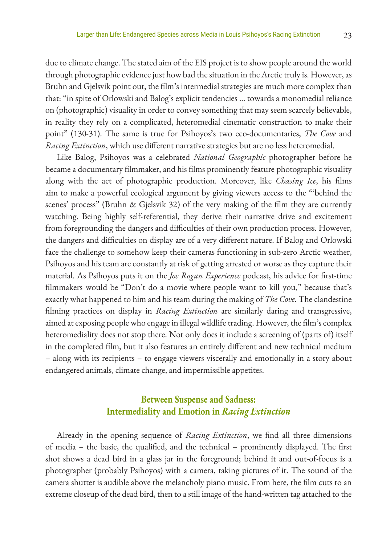due to climate change. The stated aim of the EIS project is to show people around the world through photographic evidence just how bad the situation in the Arctic truly is. However, as Bruhn and Gjelsvik point out, the film's intermedial strategies are much more complex than that: "in spite of Orlowski and Balog's explicit tendencies … towards a monomedial reliance on (photographic) visuality in order to convey something that may seem scarcely believable, in reality they rely on a complicated, heteromedial cinematic construction to make their point" (130-31). The same is true for Psihoyos's two eco-documentaries, *The Cove* and *Racing Extinction*, which use different narrative strategies but are no less heteromedial.

Like Balog, Psihoyos was a celebrated *National Geographic* photographer before he became a documentary filmmaker, and his films prominently feature photographic visuality along with the act of photographic production. Moreover, like *Chasing Ice*, his films aim to make a powerful ecological argument by giving viewers access to the "'behind the scenes' process" (Bruhn & Gjelsvik 32) of the very making of the film they are currently watching. Being highly self-referential, they derive their narrative drive and excitement from foregrounding the dangers and difficulties of their own production process. However, the dangers and difficulties on display are of a very different nature. If Balog and Orlowski face the challenge to somehow keep their cameras functioning in sub-zero Arctic weather, Psihoyos and his team are constantly at risk of getting arrested or worse as they capture their material. As Psihoyos puts it on the *Joe Rogan Experience* podcast, his advice for first-time filmmakers would be "Don't do a movie where people want to kill you," because that's exactly what happened to him and his team during the making of *The Cove*. The clandestine filming practices on display in *Racing Extinction* are similarly daring and transgressive, aimed at exposing people who engage in illegal wildlife trading. However, the film's complex heteromediality does not stop there. Not only does it include a screening of (parts of) itself in the completed film, but it also features an entirely different and new technical medium – along with its recipients – to engage viewers viscerally and emotionally in a story about endangered animals, climate change, and impermissible appetites.

## **Between Suspense and Sadness: Intermediality and Emotion in** *Racing Extinction*

Already in the opening sequence of *Racing Extinction*, we find all three dimensions of media – the basic, the qualified, and the technical – prominently displayed. The first shot shows a dead bird in a glass jar in the foreground; behind it and out-of-focus is a photographer (probably Psihoyos) with a camera, taking pictures of it. The sound of the camera shutter is audible above the melancholy piano music. From here, the film cuts to an extreme closeup of the dead bird, then to a still image of the hand-written tag attached to the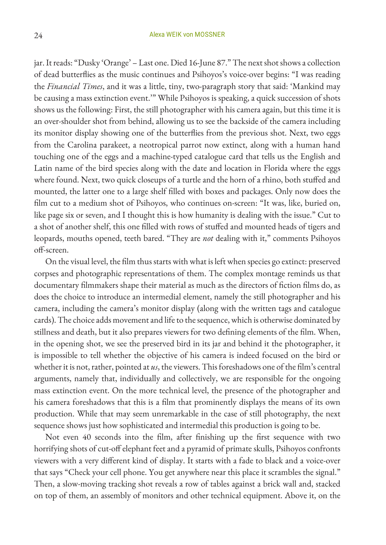jar. It reads: "Dusky 'Orange' – Last one. Died 16-June 87." The next shot shows a collection of dead butterflies as the music continues and Psihoyos's voice-over begins: "I was reading the *Financial Times*, and it was a little, tiny, two-paragraph story that said: 'Mankind may be causing a mass extinction event.'" While Psihoyos is speaking, a quick succession of shots shows us the following: First, the still photographer with his camera again, but this time it is an over-shoulder shot from behind, allowing us to see the backside of the camera including its monitor display showing one of the butterflies from the previous shot. Next, two eggs from the Carolina parakeet, a neotropical parrot now extinct, along with a human hand touching one of the eggs and a machine-typed catalogue card that tells us the English and Latin name of the bird species along with the date and location in Florida where the eggs where found. Next, two quick closeups of a turtle and the horn of a rhino, both stuffed and mounted, the latter one to a large shelf filled with boxes and packages. Only now does the film cut to a medium shot of Psihoyos, who continues on-screen: "It was, like, buried on, like page six or seven, and I thought this is how humanity is dealing with the issue." Cut to a shot of another shelf, this one filled with rows of stuffed and mounted heads of tigers and leopards, mouths opened, teeth bared. "They are *not* dealing with it," comments Psihoyos off-screen.

On the visual level, the film thus starts with what is left when species go extinct: preserved corpses and photographic representations of them. The complex montage reminds us that documentary filmmakers shape their material as much as the directors of fiction films do, as does the choice to introduce an intermedial element, namely the still photographer and his camera, including the camera's monitor display (along with the written tags and catalogue cards). The choice adds movement and life to the sequence, which is otherwise dominated by stillness and death, but it also prepares viewers for two defining elements of the film. When, in the opening shot, we see the preserved bird in its jar and behind it the photographer, it is impossible to tell whether the objective of his camera is indeed focused on the bird or whether it is not, rather, pointed at *us*, the viewers. This foreshadows one of the film's central arguments, namely that, individually and collectively, we are responsible for the ongoing mass extinction event. On the more technical level, the presence of the photographer and his camera foreshadows that this is a film that prominently displays the means of its own production. While that may seem unremarkable in the case of still photography, the next sequence shows just how sophisticated and intermedial this production is going to be.

Not even 40 seconds into the film, after finishing up the first sequence with two horrifying shots of cut-off elephant feet and a pyramid of primate skulls, Psihoyos confronts viewers with a very different kind of display. It starts with a fade to black and a voice-over that says "Check your cell phone. You get anywhere near this place it scrambles the signal." Then, a slow-moving tracking shot reveals a row of tables against a brick wall and, stacked on top of them, an assembly of monitors and other technical equipment. Above it, on the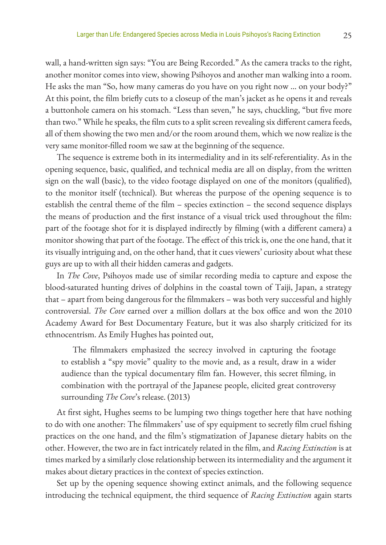wall, a hand-written sign says: "You are Being Recorded." As the camera tracks to the right, another monitor comes into view, showing Psihoyos and another man walking into a room. He asks the man "So, how many cameras do you have on you right now … on your body?" At this point, the film briefly cuts to a closeup of the man's jacket as he opens it and reveals a buttonhole camera on his stomach. "Less than seven," he says, chuckling, "but five more than two." While he speaks, the film cuts to a split screen revealing six different camera feeds, all of them showing the two men and/or the room around them, which we now realize is the very same monitor-filled room we saw at the beginning of the sequence.

The sequence is extreme both in its intermediality and in its self-referentiality. As in the opening sequence, basic, qualified, and technical media are all on display, from the written sign on the wall (basic), to the video footage displayed on one of the monitors (qualified), to the monitor itself (technical). But whereas the purpose of the opening sequence is to establish the central theme of the film – species extinction – the second sequence displays the means of production and the first instance of a visual trick used throughout the film: part of the footage shot for it is displayed indirectly by filming (with a different camera) a monitor showing that part of the footage. The effect of this trick is, one the one hand, that it its visually intriguing and, on the other hand, that it cues viewers' curiosity about what these guys are up to with all their hidden cameras and gadgets.

In *The Cove*, Psihoyos made use of similar recording media to capture and expose the blood-saturated hunting drives of dolphins in the coastal town of Taiji, Japan, a strategy that – apart from being dangerous for the filmmakers – was both very successful and highly controversial. *The Cove* earned over a million dollars at the box office and won the 2010 Academy Award for Best Documentary Feature, but it was also sharply criticized for its ethnocentrism. As Emily Hughes has pointed out,

The filmmakers emphasized the secrecy involved in capturing the footage to establish a "spy movie" quality to the movie and, as a result, draw in a wider audience than the typical documentary film fan. However, this secret filming, in combination with the portrayal of the Japanese people, elicited great controversy surrounding *The Cove*'s release. (2013)

At first sight, Hughes seems to be lumping two things together here that have nothing to do with one another: The filmmakers' use of spy equipment to secretly film cruel fishing practices on the one hand, and the film's stigmatization of Japanese dietary habits on the other. However, the two are in fact intricately related in the film, and *Racing Extinction* is at times marked by a similarly close relationship between its intermediality and the argument it makes about dietary practices in the context of species extinction.

Set up by the opening sequence showing extinct animals, and the following sequence introducing the technical equipment, the third sequence of *Racing Extinction* again starts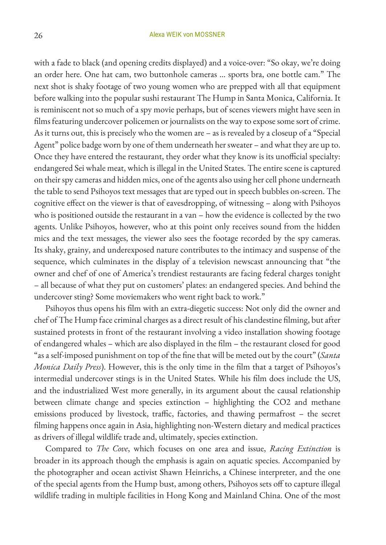with a fade to black (and opening credits displayed) and a voice-over: "So okay, we're doing an order here. One hat cam, two buttonhole cameras … sports bra, one bottle cam." The next shot is shaky footage of two young women who are prepped with all that equipment before walking into the popular sushi restaurant The Hump in Santa Monica, California. It is reminiscent not so much of a spy movie perhaps, but of scenes viewers might have seen in films featuring undercover policemen or journalists on the way to expose some sort of crime. As it turns out, this is precisely who the women are – as is revealed by a closeup of a "Special Agent" police badge worn by one of them underneath her sweater – and what they are up to. Once they have entered the restaurant, they order what they know is its unofficial specialty: endangered Sei whale meat, which is illegal in the United States. The entire scene is captured on their spy cameras and hidden mics, one of the agents also using her cell phone underneath the table to send Psihoyos text messages that are typed out in speech bubbles on-screen. The cognitive effect on the viewer is that of eavesdropping, of witnessing – along with Psihoyos who is positioned outside the restaurant in a van – how the evidence is collected by the two agents. Unlike Psihoyos, however, who at this point only receives sound from the hidden mics and the text messages, the viewer also sees the footage recorded by the spy cameras. Its shaky, grainy, and underexposed nature contributes to the intimacy and suspense of the sequence, which culminates in the display of a television newscast announcing that "the owner and chef of one of America's trendiest restaurants are facing federal charges tonight – all because of what they put on customers' plates: an endangered species. And behind the undercover sting? Some moviemakers who went right back to work."

Psihoyos thus opens his film with an extra-diegetic success: Not only did the owner and chef of The Hump face criminal charges as a direct result of his clandestine filming, but after sustained protests in front of the restaurant involving a video installation showing footage of endangered whales – which are also displayed in the film – the restaurant closed for good "as a self-imposed punishment on top of the fine that will be meted out by the court" (*Santa Monica Daily Press*). However, this is the only time in the film that a target of Psihoyos's intermedial undercover stings is in the United States. While his film does include the US, and the industrialized West more generally, in its argument about the causal relationship between climate change and species extinction – highlighting the CO2 and methane emissions produced by livestock, traffic, factories, and thawing permafrost – the secret filming happens once again in Asia, highlighting non-Western dietary and medical practices as drivers of illegal wildlife trade and, ultimately, species extinction.

Compared to *The Cove*, which focuses on one area and issue, *Racing Extinction* is broader in its approach though the emphasis is again on aquatic species. Accompanied by the photographer and ocean activist Shawn Heinrichs, a Chinese interpreter, and the one of the special agents from the Hump bust, among others, Psihoyos sets off to capture illegal wildlife trading in multiple facilities in Hong Kong and Mainland China. One of the most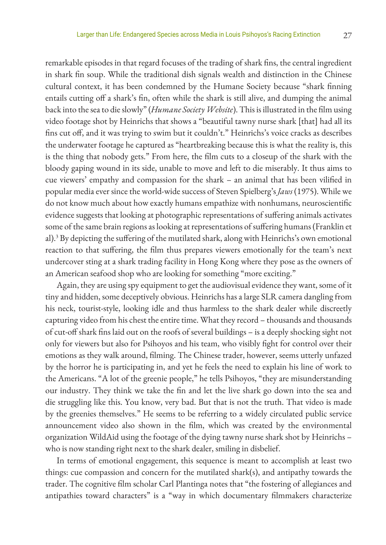remarkable episodes in that regard focuses of the trading of shark fins, the central ingredient in shark fin soup. While the traditional dish signals wealth and distinction in the Chinese cultural context, it has been condemned by the Humane Society because "shark finning entails cutting off a shark's fin, often while the shark is still alive, and dumping the animal back into the sea to die slowly" (*Humane Society Website*). This is illustrated in the film using video footage shot by Heinrichs that shows a "beautiful tawny nurse shark [that] had all its fins cut off, and it was trying to swim but it couldn't." Heinrichs's voice cracks as describes the underwater footage he captured as "heartbreaking because this is what the reality is, this is the thing that nobody gets." From here, the film cuts to a closeup of the shark with the bloody gaping wound in its side, unable to move and left to die miserably. It thus aims to cue viewers' empathy and compassion for the shark – an animal that has been vilified in popular media ever since the world-wide success of Steven Spielberg's *Jaws* (1975). While we do not know much about how exactly humans empathize with nonhumans, neuroscientific evidence suggests that looking at photographic representations of suffering animals activates some of the same brain regions as looking at representations of suffering humans (Franklin et al).3 By depicting the suffering of the mutilated shark, along with Heinrichs's own emotional reaction to that suffering, the film thus prepares viewers emotionally for the team's next undercover sting at a shark trading facility in Hong Kong where they pose as the owners of an American seafood shop who are looking for something "more exciting."

Again, they are using spy equipment to get the audiovisual evidence they want, some of it tiny and hidden, some deceptively obvious. Heinrichs has a large SLR camera dangling from his neck, tourist-style, looking idle and thus harmless to the shark dealer while discreetly capturing video from his chest the entire time. What they record – thousands and thousands of cut-off shark fins laid out on the roofs of several buildings – is a deeply shocking sight not only for viewers but also for Psihoyos and his team, who visibly fight for control over their emotions as they walk around, filming. The Chinese trader, however, seems utterly unfazed by the horror he is participating in, and yet he feels the need to explain his line of work to the Americans. "A lot of the greenie people," he tells Psihoyos, "they are misunderstanding our industry. They think we take the fin and let the live shark go down into the sea and die struggling like this. You know, very bad. But that is not the truth. That video is made by the greenies themselves." He seems to be referring to a widely circulated public service announcement video also shown in the film, which was created by the environmental organization WildAid using the footage of the dying tawny nurse shark shot by Heinrichs – who is now standing right next to the shark dealer, smiling in disbelief.

In terms of emotional engagement, this sequence is meant to accomplish at least two things: cue compassion and concern for the mutilated shark(s), and antipathy towards the trader. The cognitive film scholar Carl Plantinga notes that "the fostering of allegiances and antipathies toward characters" is a "way in which documentary filmmakers characterize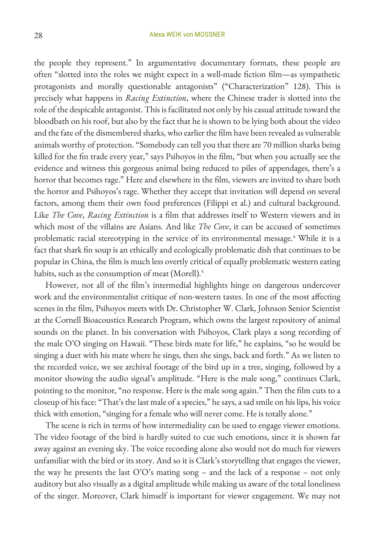the people they represent." In argumentative documentary formats, these people are often "slotted into the roles we might expect in a well-made fiction film—as sympathetic protagonists and morally questionable antagonists" ("Characterization" 128). This is precisely what happens in *Racing Extinction*, where the Chinese trader is slotted into the role of the despicable antagonist. This is facilitated not only by his casual attitude toward the bloodbath on his roof, but also by the fact that he is shown to be lying both about the video and the fate of the dismembered sharks, who earlier the film have been revealed as vulnerable animals worthy of protection. "Somebody can tell you that there are 70 million sharks being killed for the fin trade every year," says Psihoyos in the film, "but when you actually see the evidence and witness this gorgeous animal being reduced to piles of appendages, there's a horror that becomes rage." Here and elsewhere in the film, viewers are invited to share both the horror and Psihoyos's rage. Whether they accept that invitation will depend on several factors, among them their own food preferences (Filippi et al.) and cultural background. Like *The Cove*, *Racing Extinction* is a film that addresses itself to Western viewers and in which most of the villains are Asians. And like *The Cove*, it can be accused of sometimes problematic racial stereotyping in the service of its environmental message.<sup>4</sup> While it is a fact that shark fin soup is an ethically and ecologically problematic dish that continues to be popular in China, the film is much less overtly critical of equally problematic western eating habits, such as the consumption of meat (Morell).<sup>5</sup>

However, not all of the film's intermedial highlights hinge on dangerous undercover work and the environmentalist critique of non-western tastes. In one of the most affecting scenes in the film, Psihoyos meets with Dr. Christopher W. Clark, Johnson Senior Scientist at the Cornell Bioacoustics Research Program, which owns the largest repository of animal sounds on the planet. In his conversation with Psihoyos, Clark plays a song recording of the male O'O singing on Hawaii. "These birds mate for life," he explains, "so he would be singing a duet with his mate where he sings, then she sings, back and forth." As we listen to the recorded voice, we see archival footage of the bird up in a tree, singing, followed by a monitor showing the audio signal's amplitude. "Here is the male song," continues Clark, pointing to the monitor, "no response. Here is the male song again." Then the film cuts to a closeup of his face: "That's the last male of a species," he says, a sad smile on his lips, his voice thick with emotion, "singing for a female who will never come. He is totally alone."

The scene is rich in terms of how intermediality can be used to engage viewer emotions. The video footage of the bird is hardly suited to cue such emotions, since it is shown far away against an evening sky. The voice recording alone also would not do much for viewers unfamiliar with the bird or its story. And so it is Clark's storytelling that engages the viewer, the way he presents the last O'O's mating song – and the lack of a response – not only auditory but also visually as a digital amplitude while making us aware of the total loneliness of the singer. Moreover, Clark himself is important for viewer engagement. We may not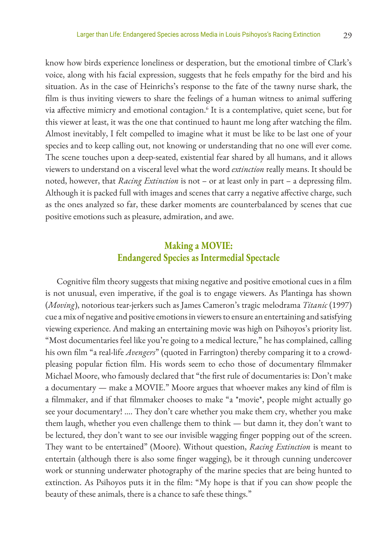know how birds experience loneliness or desperation, but the emotional timbre of Clark's voice, along with his facial expression, suggests that he feels empathy for the bird and his situation. As in the case of Heinrichs's response to the fate of the tawny nurse shark, the film is thus inviting viewers to share the feelings of a human witness to animal suffering via affective mimicry and emotional contagion.<sup>6</sup> It is a contemplative, quiet scene, but for this viewer at least, it was the one that continued to haunt me long after watching the film. Almost inevitably, I felt compelled to imagine what it must be like to be last one of your species and to keep calling out, not knowing or understanding that no one will ever come. The scene touches upon a deep-seated, existential fear shared by all humans, and it allows viewers to understand on a visceral level what the word *extinction* really means. It should be noted, however, that *Racing Extinction* is not – or at least only in part – a depressing film. Although it is packed full with images and scenes that carry a negative affective charge, such as the ones analyzed so far, these darker moments are counterbalanced by scenes that cue positive emotions such as pleasure, admiration, and awe.

## **Making a MOVIE: Endangered Species as Intermedial Spectacle**

Cognitive film theory suggests that mixing negative and positive emotional cues in a film is not unusual, even imperative, if the goal is to engage viewers. As Plantinga has shown (*Moving*), notorious tear-jerkers such as James Cameron's tragic melodrama *Titanic* (1997) cue a mix of negative and positive emotions in viewers to ensure an entertaining and satisfying viewing experience. And making an entertaining movie was high on Psihoyos's priority list. "Most documentaries feel like you're going to a medical lecture," he has complained, calling his own film "a real-life *Avengers*" (quoted in Farrington) thereby comparing it to a crowdpleasing popular fiction film. His words seem to echo those of documentary filmmaker Michael Moore, who famously declared that "the first rule of documentaries is: Don't make a documentary — make a MOVIE." Moore argues that whoever makes any kind of film is a filmmaker, and if that filmmaker chooses to make "a \*movie\*, people might actually go see your documentary! .... They don't care whether you make them cry, whether you make them laugh, whether you even challenge them to think — but damn it, they don't want to be lectured, they don't want to see our invisible wagging finger popping out of the screen. They want to be entertained" (Moore). Without question, *Racing Extinction* is meant to entertain (although there is also some finger wagging), be it through cunning undercover work or stunning underwater photography of the marine species that are being hunted to extinction. As Psihoyos puts it in the film: "My hope is that if you can show people the beauty of these animals, there is a chance to safe these things."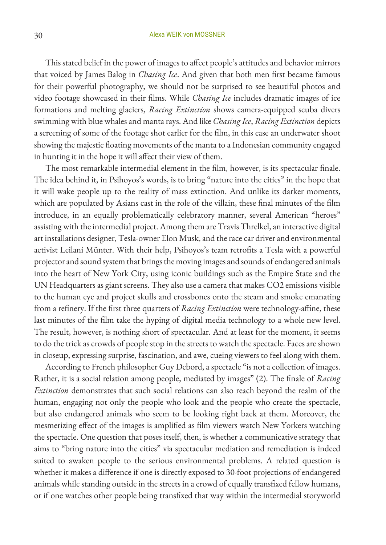This stated belief in the power of images to affect people's attitudes and behavior mirrors that voiced by James Balog in *Chasing Ice*. And given that both men first became famous for their powerful photography, we should not be surprised to see beautiful photos and video footage showcased in their films. While *Chasing Ice* includes dramatic images of ice formations and melting glaciers, *Racing Extinction* shows camera-equipped scuba divers swimming with blue whales and manta rays. And like *Chasing Ice*, *Racing Extinction* depicts a screening of some of the footage shot earlier for the film, in this case an underwater shoot showing the majestic floating movements of the manta to a Indonesian community engaged in hunting it in the hope it will affect their view of them.

The most remarkable intermedial element in the film, however, is its spectacular finale. The idea behind it, in Psihoyos's words, is to bring "nature into the cities" in the hope that it will wake people up to the reality of mass extinction. And unlike its darker moments, which are populated by Asians cast in the role of the villain, these final minutes of the film introduce, in an equally problematically celebratory manner, several American "heroes" assisting with the intermedial project. Among them are Travis Threlkel, an interactive digital art installations designer, Tesla-owner Elon Musk, and the race car driver and environmental activist Leilani Münter. With their help, Psihoyos's team retrofits a Tesla with a powerful projector and sound system that brings the moving images and sounds of endangered animals into the heart of New York City, using iconic buildings such as the Empire State and the UN Headquarters as giant screens. They also use a camera that makes CO2 emissions visible to the human eye and project skulls and crossbones onto the steam and smoke emanating from a refinery. If the first three quarters of *Racing Extinction* were technology-affine, these last minutes of the film take the hyping of digital media technology to a whole new level. The result, however, is nothing short of spectacular. And at least for the moment, it seems to do the trick as crowds of people stop in the streets to watch the spectacle. Faces are shown in closeup, expressing surprise, fascination, and awe, cueing viewers to feel along with them.

According to French philosopher Guy Debord, a spectacle "is not a collection of images. Rather, it is a social relation among people, mediated by images" (2). The finale of *Racing Extinction* demonstrates that such social relations can also reach beyond the realm of the human, engaging not only the people who look and the people who create the spectacle, but also endangered animals who seem to be looking right back at them. Moreover, the mesmerizing effect of the images is amplified as film viewers watch New Yorkers watching the spectacle. One question that poses itself, then, is whether a communicative strategy that aims to "bring nature into the cities" via spectacular mediation and remediation is indeed suited to awaken people to the serious environmental problems. A related question is whether it makes a difference if one is directly exposed to 30-foot projections of endangered animals while standing outside in the streets in a crowd of equally transfixed fellow humans, or if one watches other people being transfixed that way within the intermedial storyworld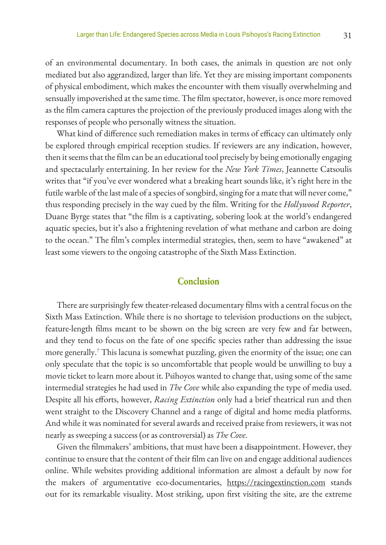of an environmental documentary. In both cases, the animals in question are not only mediated but also aggrandized, larger than life. Yet they are missing important components of physical embodiment, which makes the encounter with them visually overwhelming and sensually impoverished at the same time. The film spectator, however, is once more removed as the film camera captures the projection of the previously produced images along with the responses of people who personally witness the situation.

What kind of difference such remediation makes in terms of efficacy can ultimately only be explored through empirical reception studies. If reviewers are any indication, however, then it seems that the film can be an educational tool precisely by being emotionally engaging and spectacularly entertaining. In her review for the *New York Times*, Jeannette Catsoulis writes that "if you've ever wondered what a breaking heart sounds like, it's right here in the futile warble of the last male of a species of songbird, singing for a mate that will never come," thus responding precisely in the way cued by the film. Writing for the *Hollywood Reporter*, Duane Byrge states that "the film is a captivating, sobering look at the world's endangered aquatic species, but it's also a frightening revelation of what methane and carbon are doing to the ocean." The film's complex intermedial strategies, then, seem to have "awakened" at least some viewers to the ongoing catastrophe of the Sixth Mass Extinction.

## **Conclusion**

There are surprisingly few theater-released documentary films with a central focus on the Sixth Mass Extinction. While there is no shortage to television productions on the subject, feature-length films meant to be shown on the big screen are very few and far between, and they tend to focus on the fate of one specific species rather than addressing the issue more generally.7 This lacuna is somewhat puzzling, given the enormity of the issue; one can only speculate that the topic is so uncomfortable that people would be unwilling to buy a movie ticket to learn more about it. Psihoyos wanted to change that, using some of the same intermedial strategies he had used in *The Cove* while also expanding the type of media used. Despite all his efforts, however, *Racing Extinction* only had a brief theatrical run and then went straight to the Discovery Channel and a range of digital and home media platforms. And while it was nominated for several awards and received praise from reviewers, it was not nearly as sweeping a success (or as controversial) as *The Cove*.

Given the filmmakers' ambitions, that must have been a disappointment. However, they continue to ensure that the content of their film can live on and engage additional audiences online. While websites providing additional information are almost a default by now for the makers of argumentative eco-documentaries, https://racingextinction.com stands out for its remarkable visuality. Most striking, upon first visiting the site, are the extreme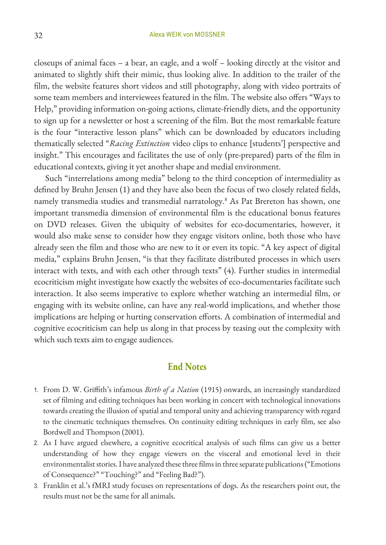closeups of animal faces – a bear, an eagle, and a wolf – looking directly at the visitor and animated to slightly shift their mimic, thus looking alive. In addition to the trailer of the film, the website features short videos and still photography, along with video portraits of some team members and interviewees featured in the film. The website also offers "Ways to Help," providing information on-going actions, climate-friendly diets, and the opportunity to sign up for a newsletter or host a screening of the film. But the most remarkable feature is the four "interactive lesson plans" which can be downloaded by educators including thematically selected "*Racing Extinction* video clips to enhance [students'] perspective and insight." This encourages and facilitates the use of only (pre-prepared) parts of the film in educational contexts, giving it yet another shape and medial environment.

Such "interrelations among media" belong to the third conception of intermediality as defined by Bruhn Jensen (1) and they have also been the focus of two closely related fields, namely transmedia studies and transmedial narratology.8 As Pat Brereton has shown, one important transmedia dimension of environmental film is the educational bonus features on DVD releases. Given the ubiquity of websites for eco-documentaries, however, it would also make sense to consider how they engage visitors online, both those who have already seen the film and those who are new to it or even its topic. "A key aspect of digital media," explains Bruhn Jensen, "is that they facilitate distributed processes in which users interact with texts, and with each other through texts" (4). Further studies in intermedial ecocriticism might investigate how exactly the websites of eco-documentaries facilitate such interaction. It also seems imperative to explore whether watching an intermedial film, or engaging with its website online, can have any real-world implications, and whether those implications are helping or hurting conservation efforts. A combination of intermedial and cognitive ecocriticism can help us along in that process by teasing out the complexity with which such texts aim to engage audiences.

### **End Notes**

- 1. From D. W. Griffith's infamous *Birth of a Nation* (1915) onwards, an increasingly standardized set of filming and editing techniques has been working in concert with technological innovations towards creating the illusion of spatial and temporal unity and achieving transparency with regard to the cinematic techniques themselves. On continuity editing techniques in early film, see also Bordwell and Thompson (2001).
- 2. As I have argued elsewhere, a cognitive ecocritical analysis of such films can give us a better understanding of how they engage viewers on the visceral and emotional level in their environmentalist stories. I have analyzed these three films in three separate publications ("Emotions of Consequence?" "Touching?" and "Feeling Bad?").
- 3. Franklin et al.'s fMRI study focuses on representations of dogs. As the researchers point out, the results must not be the same for all animals.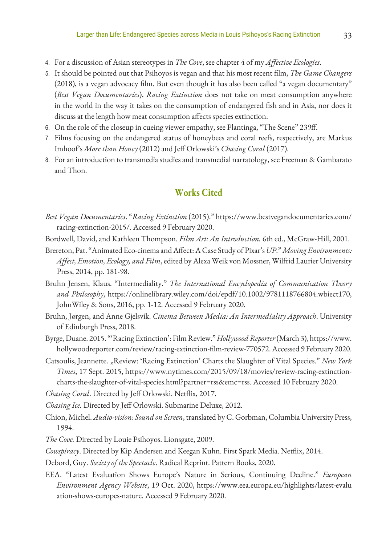- 4. For a discussion of Asian stereotypes in *The Cove*, see chapter 4 of my *Affective Ecologies*.
- 5. It should be pointed out that Psihoyos is vegan and that his most recent film, *The Game Changers*  (2018), is a vegan advocacy film. But even though it has also been called "a vegan documentary" (*Best Vegan Documentaries*), *Racing Extinction* does not take on meat consumption anywhere in the world in the way it takes on the consumption of endangered fish and in Asia, nor does it discuss at the length how meat consumption affects species extinction.
- 6. On the role of the closeup in cueing viewer empathy, see Plantinga, "The Scene" 239ff.
- 7. Films focusing on the endangered status of honeybees and coral reefs, respectively, are Markus Imhoof's *More than Honey* (2012) and Jeff Orlowski's *Chasing Coral* (2017).
- 8. For an introduction to transmedia studies and transmedial narratology, see Freeman & Gambarato and Thon.

## **Works Cited**

- *Best Vegan Documentaries*. "*Racing Extinction* (2015)." https://www.bestvegandocumentaries.com/ racing-extinction-2015/. Accessed 9 February 2020.
- Bordwell, David, and Kathleen Thompson. *Film Art: An Introduction.* 6th ed., McGraw-Hill, 2001.
- Brereton, Pat. "Animated Eco-cinema and Affect: A Case Study of Pixar's *UP*." *Moving Environments: Affect, Emotion, Ecology, and Film*, edited by Alexa Weik von Mossner, Wilfrid Laurier University Press, 2014, pp. 181-98.
- Bruhn Jensen, Klaus. "Intermediality." *The International Encyclopedia of Communication Theory and Philosophy*, https://onlinelibrary.wiley.com/doi/epdf/10.1002/9781118766804.wbiect170, JohnWiley & Sons, 2016, pp. 1-12. Accessed 9 February 2020.
- Bruhn, Jørgen, and Anne Gjelsvik. *Cinema Between Media: An Intermediality Approach*. University of Edinburgh Press, 2018.
- Byrge, Duane. 2015. "'Racing Extinction': Film Review." *Hollywood Reporter* (March 3), https://www. hollywoodreporter.com/review/racing-extinction-film-review-770572. Accessed 9 February 2020.
- Catsoulis, Jeannette. "Review: 'Racing Extinction' Charts the Slaughter of Vital Species." *New York Times*, 17 Sept. 2015, https://www.nytimes.com/2015/09/18/movies/review-racing-extinctioncharts-the-slaughter-of-vital-species.html?partner=rss&emc=rss. Accessed 10 February 2020.
- *Chasing Coral*. Directed by Jeff Orlowski. Netflix, 2017.
- *Chasing Ice.* Directed by Jeff Orlowski. Submarine Deluxe, 2012.
- Chion, Michel. *Audio-vision: Sound on Screen*, translated by C. Gorbman, Columbia University Press, 1994.
- *The Cove.* Directed by Louie Psihoyos. Lionsgate, 2009.
- *Cowspiracy*. Directed by Kip Andersen and Keegan Kuhn. First Spark Media. Netflix, 2014.
- Debord, Guy. *Society of the Spectacle*. Radical Reprint. Pattern Books, 2020.
- EEA. "Latest Evaluation Shows Europe's Nature in Serious, Continuing Decline." *European Environment Agency Website*, 19 Oct. 2020, https://www.eea.europa.eu/highlights/latest-evalu ation-shows-europes-nature. Accessed 9 February 2020.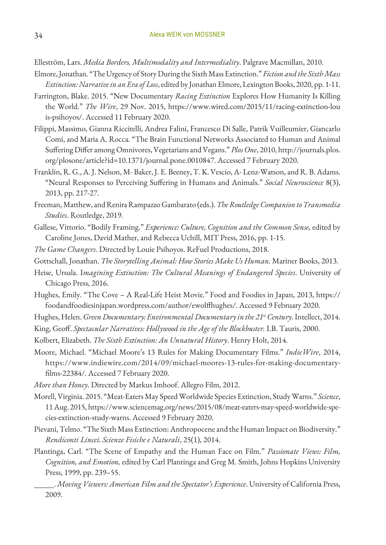Elleström, Lars. *Media Borders, Multimodality and Intermediality*. Palgrave Macmillan, 2010.

- Elmore, Jonathan. "The Urgency of Story During the Sixth Mass Extinction." *Fiction and the Sixth Mass Extinction: Narrative in an Era of Loss*, edited by Jonathan Elmore, Lexington Books, 2020, pp. 1-11.
- Farrington, Blake. 2015. "New Documentary *Racing Extinction* Explores How Humanity Is Killing the World." *The Wire*, 29 Nov. 2015, https://www.wired.com/2015/11/racing-extinction-lou is-psihoyos/. Accessed 11 February 2020.
- Filippi, Massimo, Gianna Riccitelli, Andrea Falini, Francesco Di Salle, Patrik Vuilleumier, Giancarlo Comi, and Maria A. Rocca. "The Brain Functional Networks Associated to Human and Animal Suffering Differ among Omnivores, Vegetarians and Vegans." *Plos One*, 2010, http://journals.plos. org/plosone/article?id=10.1371/journal.pone.0010847. Accessed 7 February 2020.
- Franklin, R. G., A. J. Nelson, M- Baker, J. E. Beeney, T. K. Vescio, A- Lenz-Watson, and R. B. Adams. "Neural Responses to Perceiving Suffering in Humans and Animals." *Social Neuroscience* 8(3), 2013, pp. 217-27.
- Freeman, Matthew, and Renira Rampazzo Gambarato (eds.). *The Routledge Companion to Transmedia Studies*. Routledge, 2019.
- Gallese, Vittorio. "Bodily Framing." *Experience: Culture, Cognition and the Common Sense,* edited by Caroline Jones, David Mather, and Rebecca Uchill, MIT Press, 2016, pp. 1-15.
- *The Game Changers*. Directed by Louie Psihoyos. ReFuel Productions, 2018.
- Gottschall, Jonathan. *The Storytelling Animal: How Stories Make Us Human.* Mariner Books, 2013.
- Heise, Ursula. I*magining Extinction: The Cultural Meanings of Endangered Species*. University of Chicago Press, 2016.
- Hughes, Emily. "The Cove A Real-Life Heist Movie." Food and Foodies in Japan, 2013, https:// foodandfoodiesinjapan.wordpress.com/author/ewolffhughes/. Accessed 9 February 2020.
- Hughes, Helen. *Green Documentary: Environmental Documentary in the 21st Century*. Intellect, 2014.
- King, Geoff. *Spectacular Narratives: Hollywood in the Age of the Blockbuster.* I.B. Tauris, 2000.
- Kolbert, Elizabeth. *The Sixth Extinction: An Unnatural History*. Henry Holt, 2014.
- Moore, Michael. "Michael Moore's 13 Rules for Making Documentary Films." *IndieWire*, 2014, https://www.indiewire.com/2014/09/michael-moores-13-rules-for-making-documentaryfilms-22384/. Accessed 7 February 2020.
- *More than Honey*. Directed by Markus Imhoof. Allegro Film, 2012.
- Morell, Virginia. 2015. "Meat-Eaters May Speed Worldwide Species Extinction, Study Warns." *Science*, 11 Aug. 2015, https://www.sciencemag.org/news/2015/08/meat-eaters-may-speed-worldwide-species-extinction-study-warns. Accessed 9 February 2020.
- Pievani, Telmo. "The Sixth Mass Extinction: Anthropocene and the Human Impact on Biodiversity." *Rendiconti Lincei. Scienze Fisiche e Naturali*, 25(1), 2014.
- Plantinga, Carl. "The Scene of Empathy and the Human Face on Film." *Passionate Views: Film, Cognition, and Emotion,* edited by Carl Plantinga and Greg M. Smith, Johns Hopkins University Press, 1999, pp. 239–55.

\_\_\_\_\_. *Moving Viewers: American Film and the Spectator's Experience*. University of California Press, 2009.